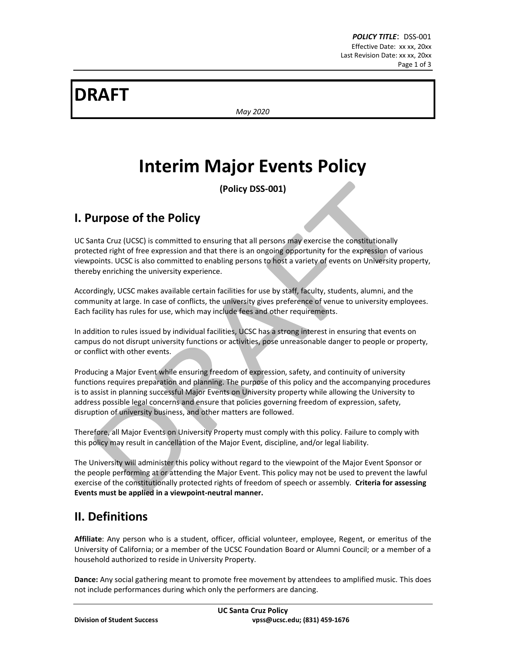# **DRAFT**

*May 2020*

# **Interim Major Events Policy**

**(Policy DSS-001)**

### **I. Purpose of the Policy**

UC Santa Cruz (UCSC) is committed to ensuring that all persons may exercise the constitutionally protected right of free expression and that there is an ongoing opportunity for the expression of various viewpoints. UCSC is also committed to enabling persons to host a variety of events on University property, thereby enriching the university experience.

Accordingly, UCSC makes available certain facilities for use by staff, faculty, students, alumni, and the community at large. In case of conflicts, the university gives preference of venue to university employees. Each facility has rules for use, which may include fees and other requirements.

In addition to rules issued by individual facilities, UCSC has a strong interest in ensuring that events on campus do not disrupt university functions or activities, pose unreasonable danger to people or property, or conflict with other events.

Producing a Major Event while ensuring freedom of expression, safety, and continuity of university functions requires preparation and planning. The purpose of this policy and the accompanying procedures is to assist in planning successful Major Events on University property while allowing the University to address possible legal concerns and ensure that policies governing freedom of expression, safety, disruption of university business, and other matters are followed.

Therefore, all Major Events on University Property must comply with this policy. Failure to comply with this policy may result in cancellation of the Major Event, discipline, and/or legal liability.

The University will administer this policy without regard to the viewpoint of the Major Event Sponsor or the people performing at or attending the Major Event. This policy may not be used to prevent the lawful exercise of the constitutionally protected rights of freedom of speech or assembly. **Criteria for assessing Events must be applied in a viewpoint-neutral manner.**

### **II. Definitions**

**Affiliate**: Any person who is a student, officer, official volunteer, employee, Regent, or emeritus of the University of California; or a member of the UCSC Foundation Board or Alumni Council; or a member of a household authorized to reside in University Property.

**Dance:** Any social gathering meant to promote free movement by attendees to amplified music. This does not include performances during which only the performers are dancing.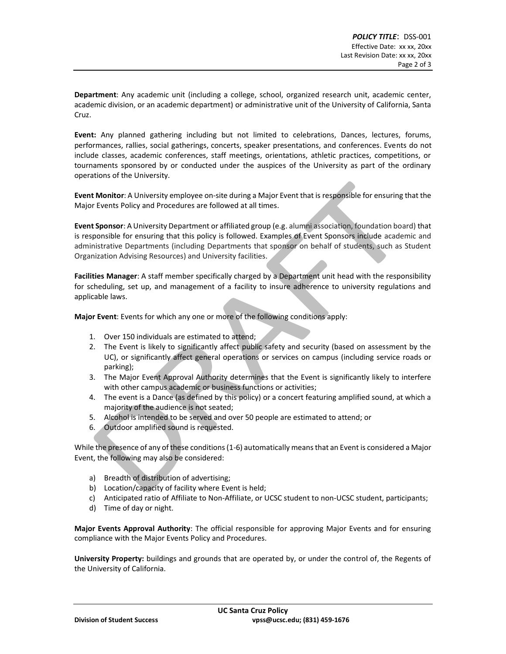**Department**: Any academic unit (including a college, school, organized research unit, academic center, academic division, or an academic department) or administrative unit of the University of California, Santa Cruz.

**Event:** Any planned gathering including but not limited to celebrations, Dances, lectures, forums, performances, rallies, social gatherings, concerts, speaker presentations, and conferences. Events do not include classes, academic conferences, staff meetings, orientations, athletic practices, competitions, or tournaments sponsored by or conducted under the auspices of the University as part of the ordinary operations of the University.

**Event Monitor**: A University employee on-site during a Major Event that is responsible for ensuring that the Major Events Policy and Procedures are followed at all times.

**Event Sponsor**: A University Department or affiliated group (e.g. alumni association, foundation board) that is responsible for ensuring that this policy is followed. Examples of Event Sponsors include academic and administrative Departments (including Departments that sponsor on behalf of students, such as Student Organization Advising Resources) and University facilities.

**Facilities Manager**: A staff member specifically charged by a Department unit head with the responsibility for scheduling, set up, and management of a facility to insure adherence to university regulations and applicable laws.

**Major Event**: Events for which any one or more of the following conditions apply:

- 1. Over 150 individuals are estimated to attend;
- 2. The Event is likely to significantly affect public safety and security (based on assessment by the UC), or significantly affect general operations or services on campus (including service roads or parking);
- 3. The Major Event Approval Authority determines that the Event is significantly likely to interfere with other campus academic or business functions or activities;
- 4. The event is a Dance (as defined by this policy) or a concert featuring amplified sound, at which a majority of the audience is not seated;
- 5. Alcohol is intended to be served and over 50 people are estimated to attend; or
- 6. Outdoor amplified sound is requested.

While the presence of any of these conditions (1-6) automatically means that an Event is considered a Major Event, the following may also be considered:

- a) Breadth of distribution of advertising;
- b) Location/capacity of facility where Event is held;
- c) Anticipated ratio of Affiliate to Non-Affiliate, or UCSC student to non-UCSC student, participants;
- d) Time of day or night.

**Major Events Approval Authority**: The official responsible for approving Major Events and for ensuring compliance with the Major Events Policy and Procedures.

**University Property:** buildings and grounds that are operated by, or under the control of, the Regents of the University of California.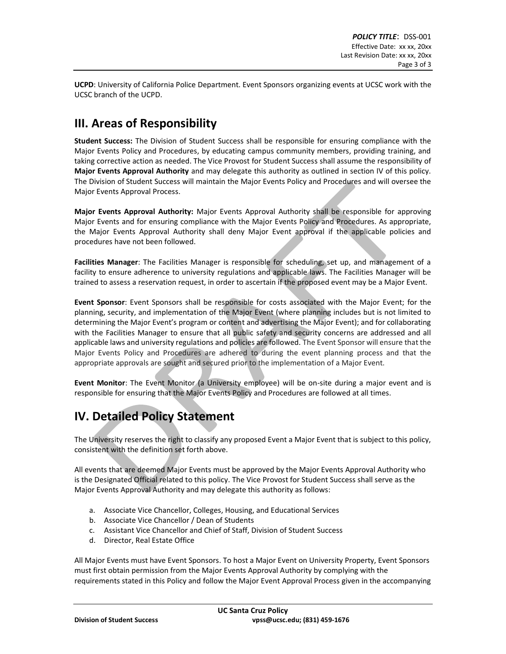**UCPD**: University of California Police Department. Event Sponsors organizing events at UCSC work with the UCSC branch of the UCPD.

### **III. Areas of Responsibility**

**Student Success:** The Division of Student Success shall be responsible for ensuring compliance with the Major Events Policy and Procedures, by educating campus community members, providing training, and taking corrective action as needed. The Vice Provost for Student Success shall assume the responsibility of **Major Events Approval Authority** and may delegate this authority as outlined in section IV of this policy. The Division of Student Success will maintain the Major Events Policy and Procedures and will oversee the Major Events Approval Process.

**Major Events Approval Authority:** Major Events Approval Authority shall be responsible for approving Major Events and for ensuring compliance with the Major Events Policy and Procedures. As appropriate, the Major Events Approval Authority shall deny Major Event approval if the applicable policies and procedures have not been followed.

**Facilities Manager**: The Facilities Manager is responsible for scheduling, set up, and management of a facility to ensure adherence to university regulations and applicable laws. The Facilities Manager will be trained to assess a reservation request, in order to ascertain if the proposed event may be a Major Event.

**Event Sponsor**: Event Sponsors shall be responsible for costs associated with the Major Event; for the planning, security, and implementation of the Major Event (where planning includes but is not limited to determining the Major Event's program or content and advertising the Major Event); and for collaborating with the Facilities Manager to ensure that all public safety and security concerns are addressed and all applicable laws and university regulations and policies are followed. The Event Sponsor will ensure that the Major Events Policy and Procedures are adhered to during the event planning process and that the appropriate approvals are sought and secured prior to the implementation of a Major Event.

**Event Monitor**: The Event Monitor (a University employee) will be on-site during a major event and is responsible for ensuring that the Major Events Policy and Procedures are followed at all times.

# **IV. Detailed Policy Statement**

The University reserves the right to classify any proposed Event a Major Event that is subject to this policy, consistent with the definition set forth above.

All events that are deemed Major Events must be approved by the Major Events Approval Authority who is the Designated Official related to this policy. The Vice Provost for Student Success shall serve as the Major Events Approval Authority and may delegate this authority as follows:

- a. Associate Vice Chancellor, Colleges, Housing, and Educational Services
- b. Associate Vice Chancellor / Dean of Students
- c. Assistant Vice Chancellor and Chief of Staff, Division of Student Success
- d. Director, Real Estate Office

All Major Events must have Event Sponsors. To host a Major Event on University Property, Event Sponsors must first obtain permission from the Major Events Approval Authority by complying with the requirements stated in this Policy and follow the Major Event Approval Process given in the accompanying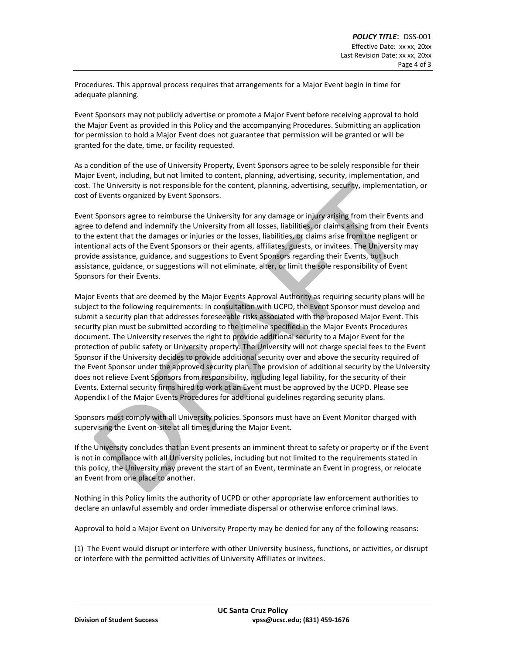Procedures. This approval process requires that arrangements for a Major Event begin in time for adequate planning.

Event Sponsors may not publicly advertise or promote a Major Event before receiving approval to hold the Major Event as provided in this Policy and the accompanying Procedures. Submitting an application for permission to hold a Major Event does not guarantee that permission will be granted or will be granted for the date, time, or facility requested.

As a condition of the use of University Property, Event Sponsors agree to be solely responsible for their Major Event, including, but not limited to content, planning, advertising, security, implementation, and cost. The University is not responsible for the content, planning, advertising, security, implementation, or cost of Events organized by Event Sponsors.

Event Sponsors agree to reimburse the University for any damage or injury arising from their Events and agree to defend and indemnify the University from all losses, liabilities, or claims arising from their Events to the extent that the damages or injuries or the losses, liabilities, or claims arise from the negligent or intentional acts of the Event Sponsors or their agents, affiliates, guests, or invitees. The University may provide assistance, guidance, and suggestions to Event Sponsors regarding their Events, but such assistance, guidance, or suggestions will not eliminate, alter, or limit the sole responsibility of Event Sponsors for their Events.

Major Events that are deemed by the Major Events Approval Authority as requiring security plans will be subject to the following requirements: In consultation with UCPD, the Event Sponsor must develop and submit a security plan that addresses foreseeable risks associated with the proposed Major Event. This security plan must be submitted according to the timeline specified in the Major Events Procedures document. The University reserves the right to provide additional security to a Major Event for the protection of public safety or University property. The University will not charge special fees to the Event Sponsor if the University decides to provide additional security over and above the security required of the Event Sponsor under the approved security plan. The provision of additional security by the University does not relieve Event Sponsors from responsibility, including legal liability, for the security of their Events. External security firms hired to work at an Event must be approved by the UCPD. Please see Appendix I of the Major Events Procedures for additional guidelines regarding security plans.

Sponsors must comply with all University policies. Sponsors must have an Event Monitor charged with supervising the Event on-site at all times during the Major Event.

If the University concludes that an Event presents an imminent threat to safety or property or if the Event is not in compliance with all University policies, including but not limited to the requirements stated in this policy, the University may prevent the start of an Event, terminate an Event in progress, or relocate an Event from one place to another.

Nothing in this Policy limits the authority of UCPD or other appropriate law enforcement authorities to declare an unlawful assembly and order immediate dispersal or otherwise enforce criminal laws.

Approval to hold a Major Event on University Property may be denied for any of the following reasons:

(1) The Event would disrupt or interfere with other University business, functions, or activities, or disrupt or interfere with the permitted activities of University Affiliates or invitees.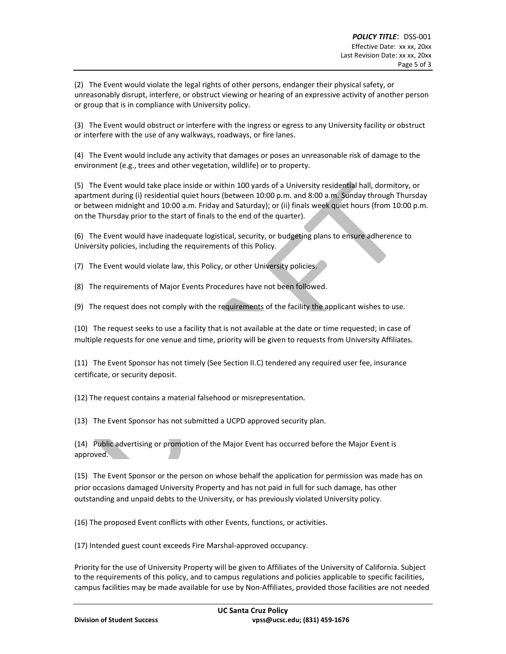(2) The Event would violate the legal rights of other persons, endanger their physical safety, or unreasonably disrupt, interfere, or obstruct viewing or hearing of an expressive activity of another person or group that is in compliance with University policy.

(3) The Event would obstruct or interfere with the ingress or egress to any University facility or obstruct or interfere with the use of any walkways, roadways, or fire lanes.

(4) The Event would include any activity that damages or poses an unreasonable risk of damage to the environment (e.g., trees and other vegetation, wildlife) or to property.

(5) The Event would take place inside or within 100 yards of a University residential hall, dormitory, or apartment during (i) residential quiet hours (between 10:00 p.m. and 8:00 a.m. Sunday through Thursday or between midnight and 10:00 a.m. Friday and Saturday); or (ii) finals week quiet hours (from 10:00 p.m. on the Thursday prior to the start of finals to the end of the quarter).

(6) The Event would have inadequate logistical, security, or budgeting plans to ensure adherence to University policies, including the requirements of this Policy.

(7) The Event would violate law, this Policy, or other University policies.

(8) The requirements of Major Events Procedures have not been followed.

(9) The request does not comply with the requirements of the facility the applicant wishes to use.

(10) The request seeks to use a facility that is not available at the date or time requested; in case of multiple requests for one venue and time, priority will be given to requests from University Affiliates.

(11) The Event Sponsor has not timely (See Section II.C) tendered any required user fee, insurance certificate, or security deposit.

(12) The request contains a material falsehood or misrepresentation.

(13) The Event Sponsor has not submitted a UCPD approved security plan.

(14) Public advertising or promotion of the Major Event has occurred before the Major Event is approved.

(15) The Event Sponsor or the person on whose behalf the application for permission was made has on prior occasions damaged University Property and has not paid in full for such damage, has other outstanding and unpaid debts to the University, or has previously violated University policy.

(16) The proposed Event conflicts with other Events, functions, or activities.

(17) Intended guest count exceeds Fire Marshal-approved occupancy.

Priority for the use of University Property will be given to Affiliates of the University of California. Subject to the requirements of this policy, and to campus regulations and policies applicable to specific facilities, campus facilities may be made available for use by Non-Affiliates, provided those facilities are not needed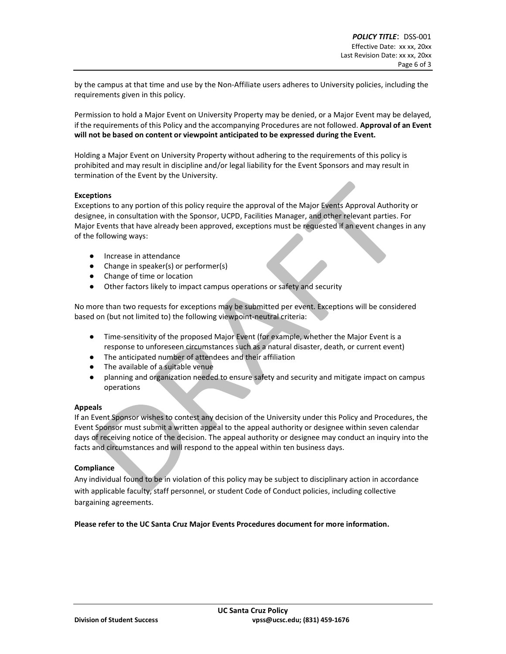by the campus at that time and use by the Non-Affiliate users adheres to University policies, including the requirements given in this policy.

Permission to hold a Major Event on University Property may be denied, or a Major Event may be delayed, if the requirements of this Policy and the accompanying Procedures are not followed. **Approval of an Event will not be based on content or viewpoint anticipated to be expressed during the Event.**

Holding a Major Event on University Property without adhering to the requirements of this policy is prohibited and may result in discipline and/or legal liability for the Event Sponsors and may result in termination of the Event by the University.

#### **Exceptions**

Exceptions to any portion of this policy require the approval of the Major Events Approval Authority or designee, in consultation with the Sponsor, UCPD, Facilities Manager, and other relevant parties. For Major Events that have already been approved, exceptions must be requested if an event changes in any of the following ways:

- Increase in attendance
- Change in speaker(s) or performer(s)
- Change of time or location
- Other factors likely to impact campus operations or safety and security

No more than two requests for exceptions may be submitted per event. Exceptions will be considered based on (but not limited to) the following viewpoint-neutral criteria:

- Time-sensitivity of the proposed Major Event (for example, whether the Major Event is a response to unforeseen circumstances such as a natural disaster, death, or current event)
- The anticipated number of attendees and their affiliation
- The available of a suitable venue
- planning and organization needed to ensure safety and security and mitigate impact on campus operations

#### **Appeals**

If an Event Sponsor wishes to contest any decision of the University under this Policy and Procedures, the Event Sponsor must submit a written appeal to the appeal authority or designee within seven calendar days of receiving notice of the decision. The appeal authority or designee may conduct an inquiry into the facts and circumstances and will respond to the appeal within ten business days.

#### **Compliance**

Any individual found to be in violation of this policy may be subject to disciplinary action in accordance with applicable faculty, staff personnel, or student Code of Conduct policies, including collective bargaining agreements.

**Please refer to the UC Santa Cruz Major Events Procedures document for more information.**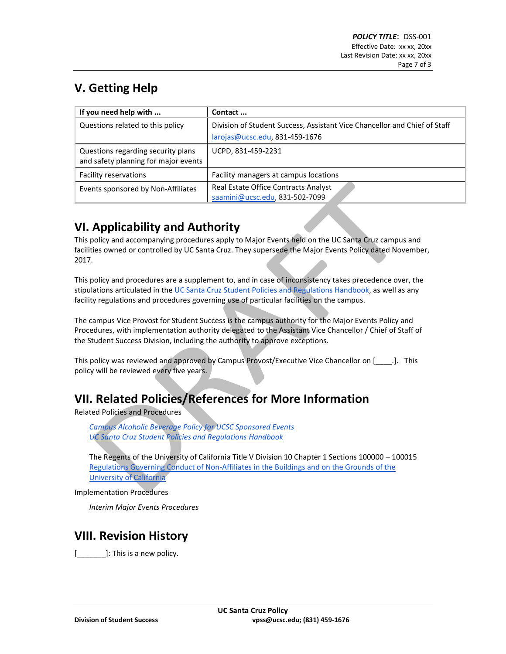# **V. Getting Help**

| If you need help with                                                      | Contact                                                                   |
|----------------------------------------------------------------------------|---------------------------------------------------------------------------|
| Questions related to this policy                                           | Division of Student Success, Assistant Vice Chancellor and Chief of Staff |
|                                                                            | $larojas@ucsc.edu, 831-459-1676$                                          |
| Questions regarding security plans<br>and safety planning for major events | UCPD, 831-459-2231                                                        |
| Facility reservations                                                      | Facility managers at campus locations                                     |
| Events sponsored by Non-Affiliates                                         | Real Estate Office Contracts Analyst<br>saamini@ucsc.edu, 831-502-7099    |

## **VI. Applicability and Authority**

This policy and accompanying procedures apply to Major Events held on the UC Santa Cruz campus and facilities owned or controlled by UC Santa Cruz. They supersede the Major Events Policy dated November, 2017.

This policy and procedures are a supplement to, and in case of inconsistency takes precedence over, the stipulations articulated in the [UC Santa Cruz Student Policies and Regulations Handbook,](https://deanofstudents.ucsc.edu/student-conduct/student-handbook/index.html) as well as any facility regulations and procedures governing use of particular facilities on the campus.

The campus Vice Provost for Student Success is the campus authority for the Major Events Policy and Procedures, with implementation authority delegated to the Assistant Vice Chancellor / Chief of Staff of the Student Success Division, including the authority to approve exceptions.

This policy was reviewed and approved by Campus Provost/Executive Vice Chancellor on [1690]. This policy will be reviewed every five years.

# **VII. Related Policies/References for More Information**

Related Policies and Procedures

*[Campus Alcoholic Beverage Policy for UCSC Sponsored Events](https://policy.ucsc.edu/policies/purchasing-and-material-management/evc001.html) [UC Santa Cruz Student Policies and Regulations Handbook](https://deanofstudents.ucsc.edu/student-conduct/student-handbook/index.html)*

The Regents of the University of California Title V Division 10 Chapter 1 Sections 100000 – 100015 [Regulations Governing Conduct of Non-Affiliates in the Buildings and on the Grounds of the](https://policy.ucop.edu/doc/3000127/NonAffiliateRegs)  [University of California](https://policy.ucop.edu/doc/3000127/NonAffiliateRegs)

Implementation Procedures

*Interim Major Events Procedures*

### **VIII. Revision History**

[**with [2001]**: This is a new policy.